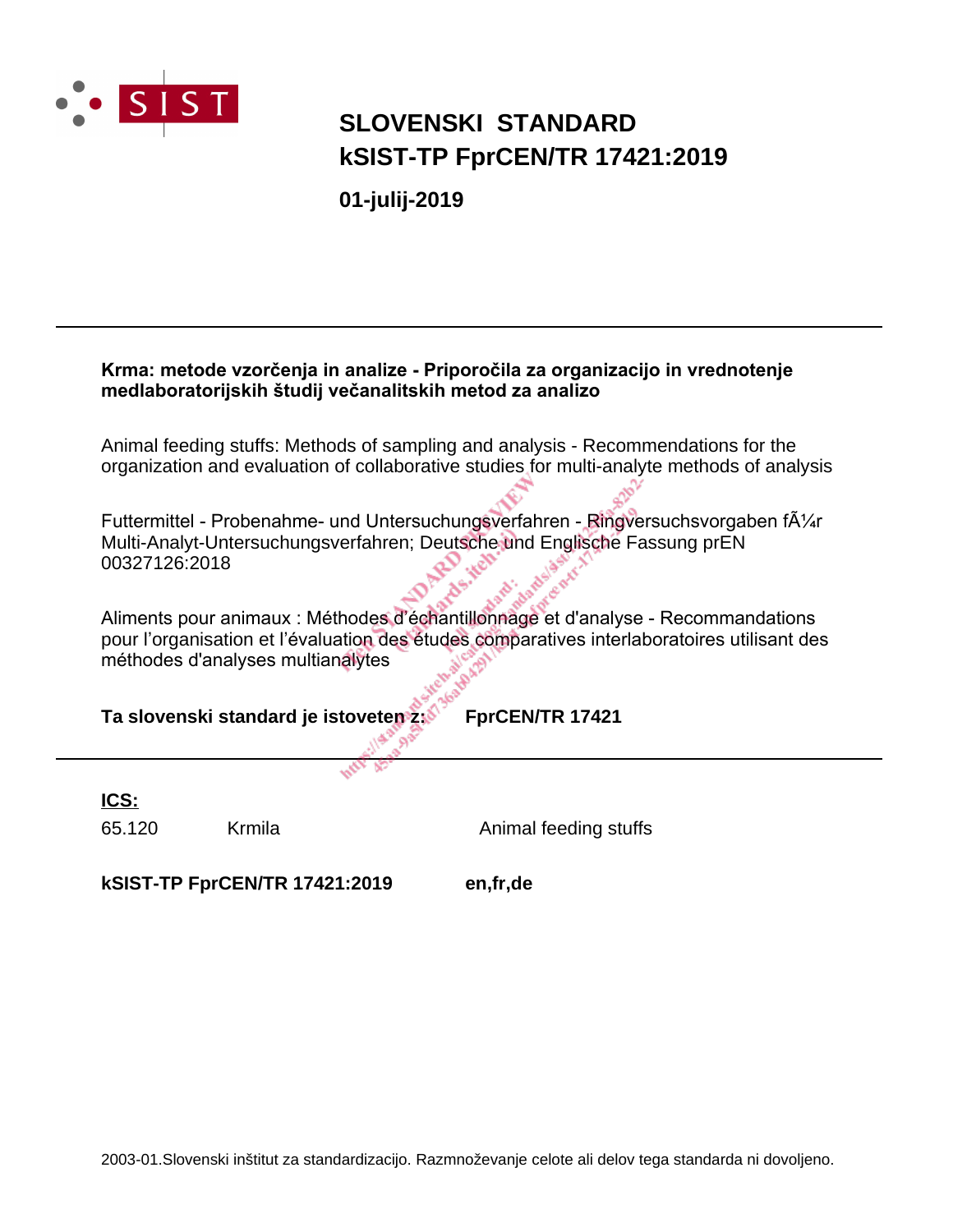

# **SLOVENSKI STANDARD kSIST-TP FprCEN/TR 17421:2019**

**01-julij-2019**

#### **Krma: metode vzorčenja in analize - Priporočila za organizacijo in vrednotenje medlaboratorijskih študij večanalitskih metod za analizo**

Animal feeding stu[ffs: Methods of sampling and analysis - Recommenda]($|�2s�Ϙ�w/�D������`?LI�h~]jF����w[�|*�x��_H,���"��f/+ҀlF)tions for the organization and evaluation of collaborative studies for multi-analyte methods of analysis

Futtermittel - Probenahme- und Untersuchungsverfahren - Ringversuchsvorgaben f $\tilde{A}$ 1/4r Multi-Analyt-Untersuchungsverfahren; Deutsche und Englische Fassung prEN 00327126:2018

Aliments pour animaux : Méthodes d'échantillonnage et d'analyse - Recommandations pour l'organisation et l'évaluation des études comparatives interlaboratoires utilisant des méthodes d'analyses multianalytes

|             |        | Ta slovenski standard je istoveten zio<br>FprCEN/TR 17421 |  |
|-------------|--------|-----------------------------------------------------------|--|
|             |        |                                                           |  |
| <u>ICS:</u> |        |                                                           |  |
| 65.120      | Krmila | Animal feeding stuffs                                     |  |

**kSIST-TP FprCEN/TR 17421:2019 en,fr,de**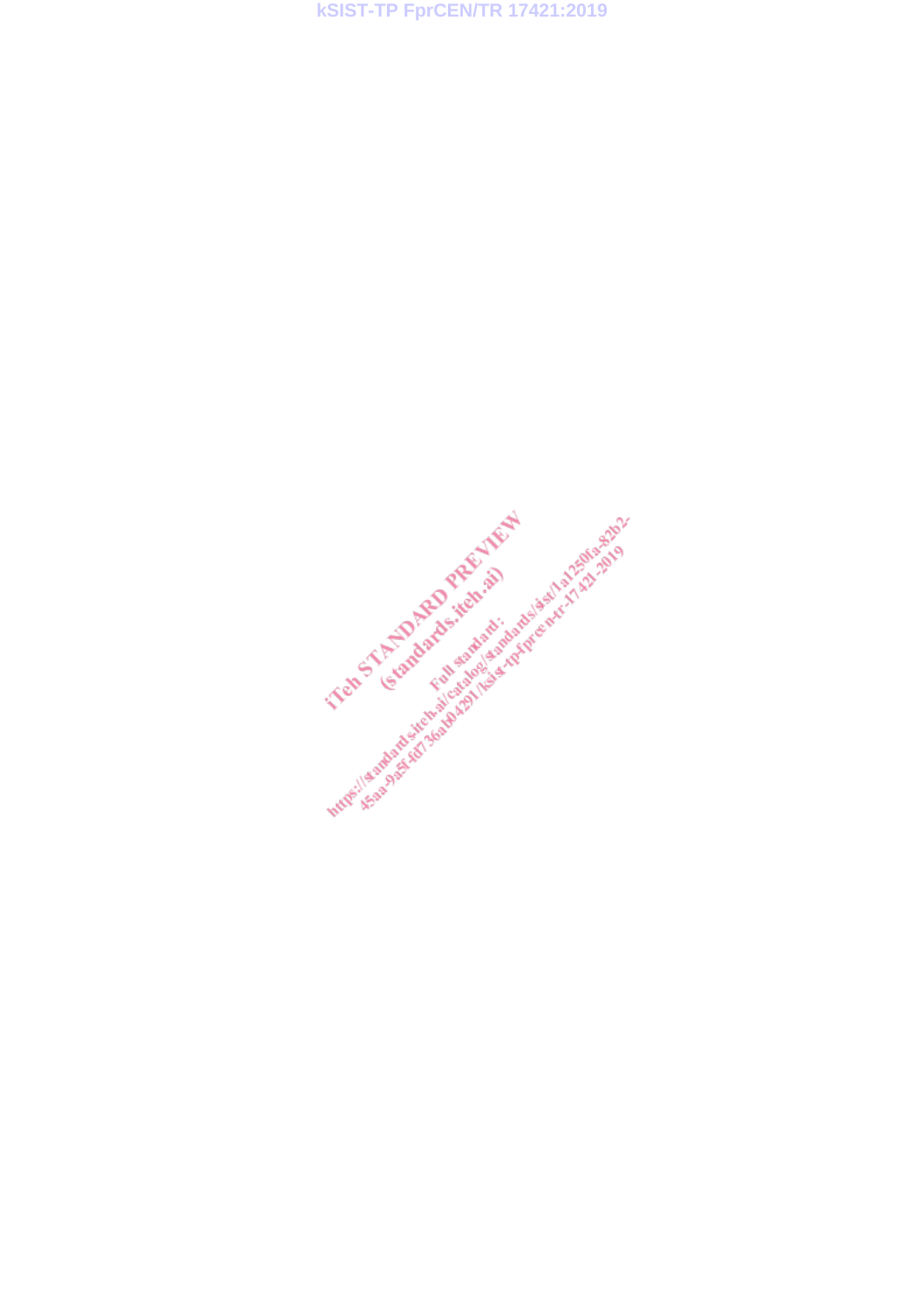#### kSIST-TP FprCEN/TR 17421:2019

Interest is a paper and the property of the second control in the second control in the second control in the second control in the second control in the second control in the second control in the second control in the se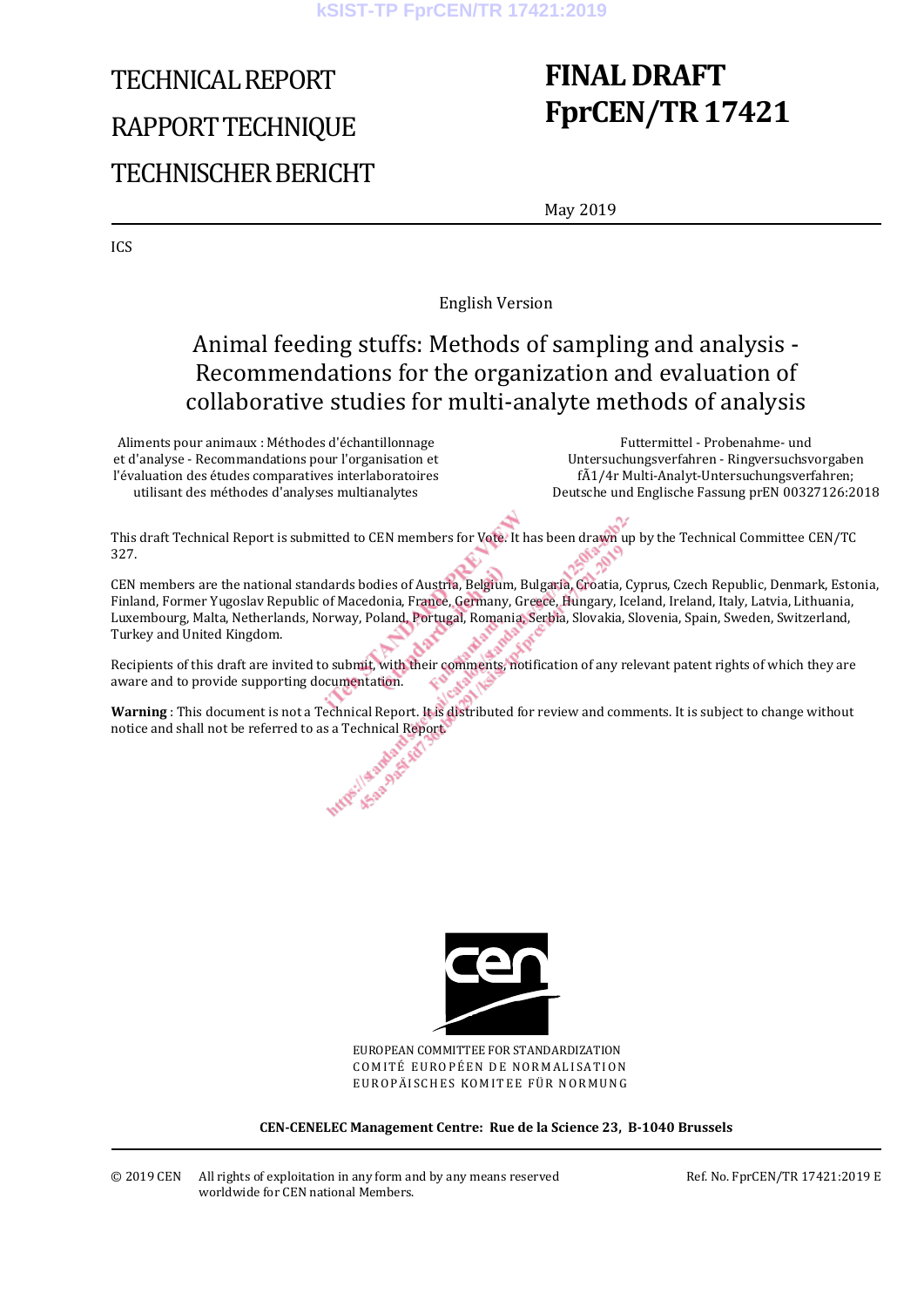#### **kSIST-TP FprCEN/TR 17421:2019**

# TECHNICAL REPORT RAPPORT TECHNIQUE TECHNISCHER BERICHT

# **FINAL DRAFT FprCEN/TR 17421**

May 2019

ICS

English Version

# Animal feeding stuffs: Methods of sampling and analysis - Recommendations for the organization and evaluation of collaborative studies for multi-analyte methods of analysis

Aliments pour animaux : Méthodes d'échantillonnage et d'analyse - Recommandations pour l'organisation et l'évaluation des études comparatives interlaboratoires utilisant des méthodes d'analyses multianalytes

 Futtermittel - Probenahme- und Untersuchungsverfahren - Ringversuchsvorgaben fÃ1/4r Multi-Analyt-Untersuchungsverfahren; Deutsche und Englische Fassung prEN 00327126:2018

This draft Technical R[eport is submitted to CEN members for Vote. It has been drawn up by the T](��p�����)\:�[�$1_"k|�<��|j~�ᵾ�%0�4�����t߬����-���\"�b�P�P4���U w�*<���*6\imO��_�D��_臢_\,	`q݃r�)echnical Committee CEN/TC 327.

CEN members are the national standards bodies of Austria, Belgium, Bulgaria, Croatia, Cyprus, Czech Republic, Denmark, Estonia, Finland, Former Yugoslav Republic of Macedonia, France, Germany, Greece, Hungary, Iceland, Ireland, Italy, Latvia, Lithuania, Luxembourg, Malta, Netherlands, Norway, Poland, Portugal, Romania, Serbia, Slovakia, Slovenia, Spain, Sweden, Switzerland, Turkey and United Kingdom.

Recipients of this draft are invited to submit, with their comments, notification of any relevant patent rights of which they are aware and to provide supporting documentation.

**Warning** : This document is not a Technical Report. It is distributed for review and comments. It is subject to change without notice and shall not be referred to as a Technical Report. notice and shall not be referred to as a Technical Report.



EUROPEAN COMMITTEE FOR STANDARDIZATION COMITÉ EUROPÉEN DE NORMALISATION EUROPÄISCHES KOMITEE FÜR NORMUNG

**CEN-CENELEC Management Centre: Rue de la Science 23, B-1040 Brussels** 

Ref. No. FprCEN/TR 17421:2019 E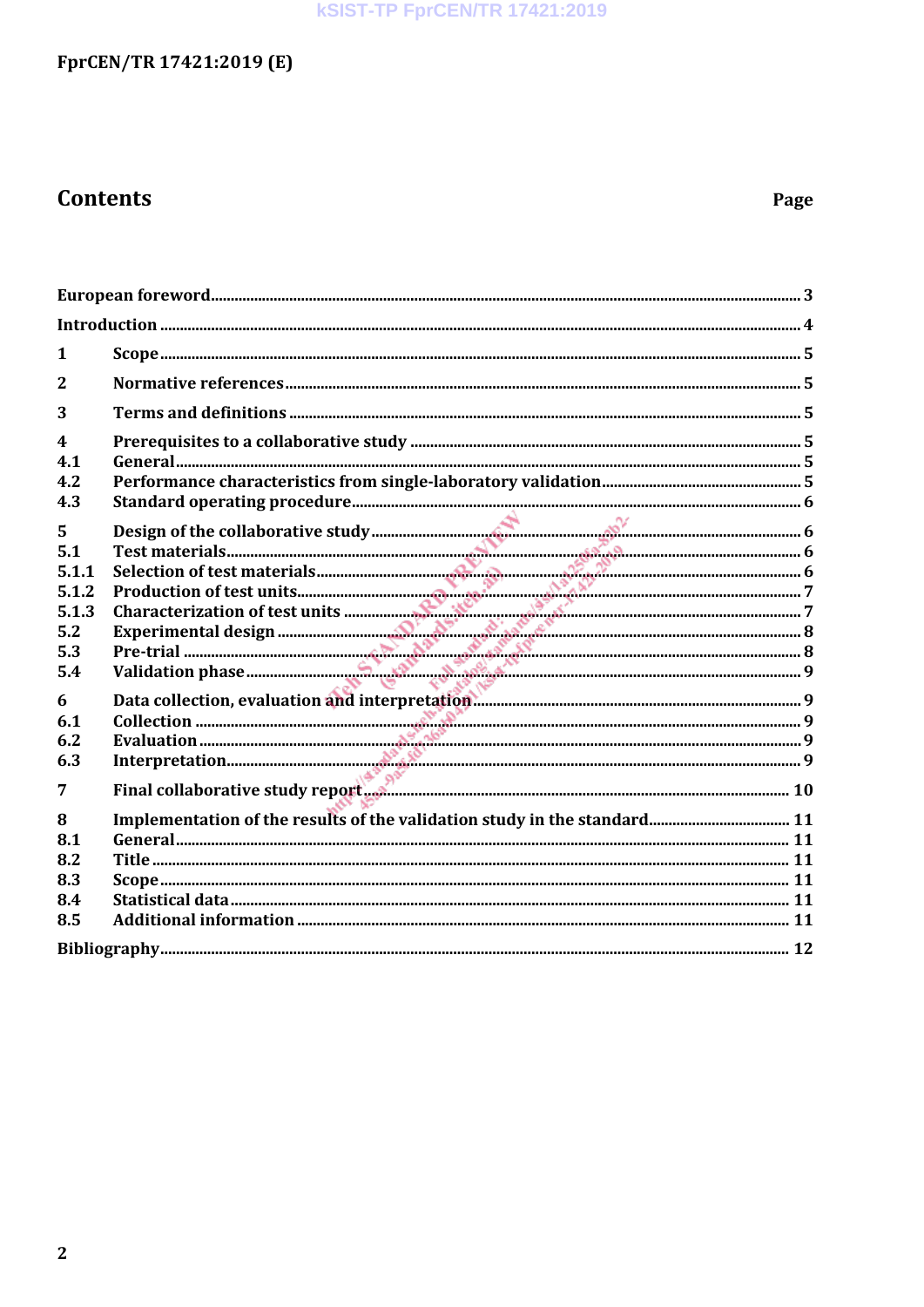#### **kSIST-TP FprCEN/TR 17421:2019**

## FprCEN/TR 17421:2019 (E)

## **Contents**

### Page

| 1                       |  |
|-------------------------|--|
| $\overline{2}$          |  |
| 3                       |  |
| $\overline{\mathbf{4}}$ |  |
| 4.1                     |  |
| 4.2                     |  |
| 4.3                     |  |
| 5                       |  |
| 5.1                     |  |
| 5.1.1                   |  |
| 5.1.2                   |  |
| 5.1.3                   |  |
| 5.2                     |  |
| 5.3                     |  |
| 5.4                     |  |
| 6                       |  |
| 6.1                     |  |
| 6.2                     |  |
| 6.3                     |  |
| 7                       |  |
|                         |  |
| 8                       |  |
| 8.1                     |  |
| 8.2                     |  |
| 8.3                     |  |
| 8.4                     |  |
| 8.5                     |  |
|                         |  |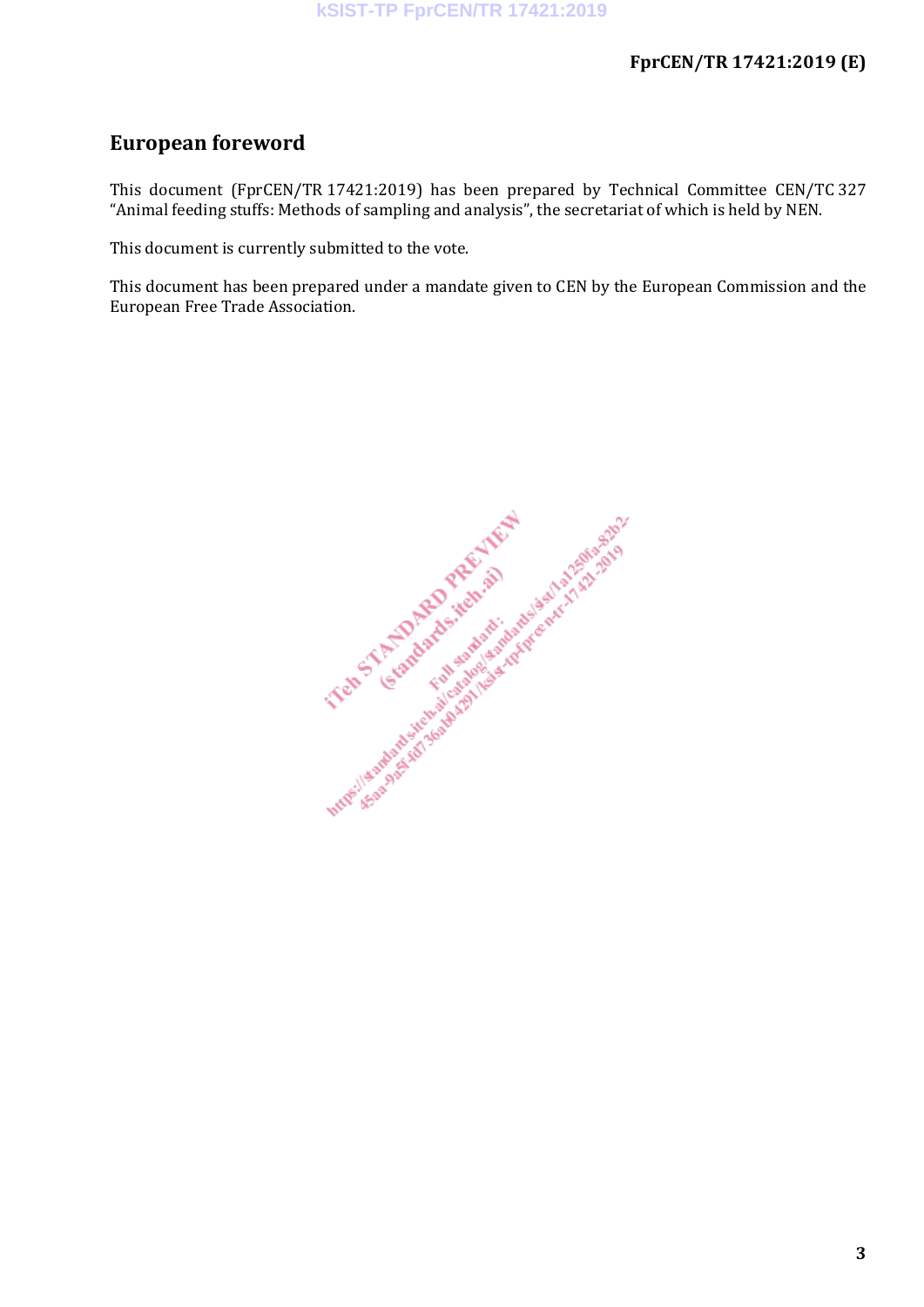#### **European foreword**

This document (FprCEN/TR 17421:2019) has been prepared by Technical Committee CEN/TC 327 "Animal feeding stuffs: Methods of sampling and analysis", the secretariat of which is held by NEN.

This document is currently submitted to the vote.

This document has been prepared under a mandate given to CEN by the European Commission and the European Free Trade Association.

Inter-language of the Hotel Assembly the Hotel and Contract of the Hotel Assembly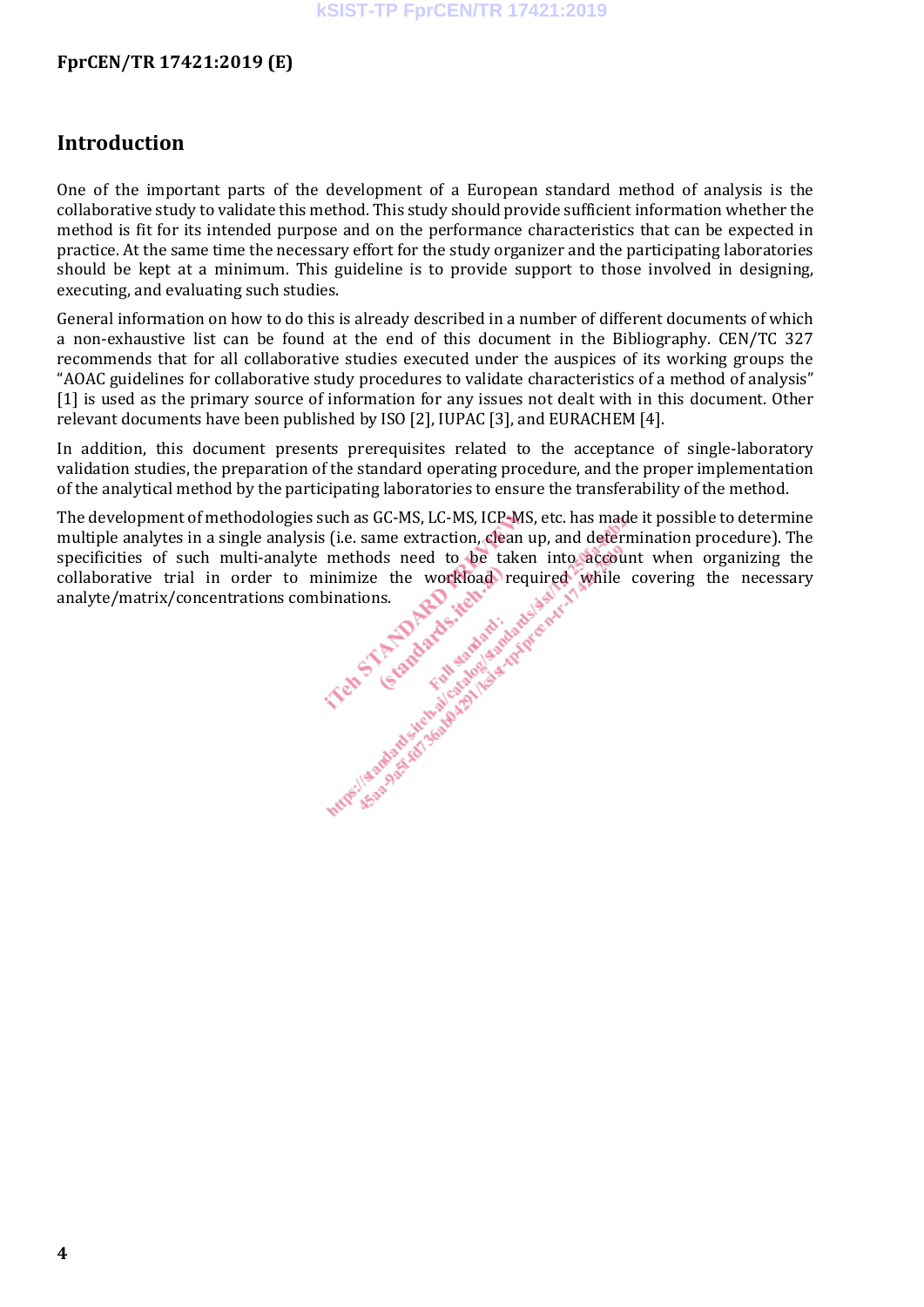#### **Introduction**

One of the important parts of the development of a European standard method of analysis is the collaborative study to validate this method. This study should provide sufficient information whether the method is fit for its intended purpose and on the performance characteristics that can be expected in practice. At the same time the necessary effort for the study organizer and the participating laboratories should be kept at a minimum. This guideline is to provide support to those involved in designing, executing, and evaluating such studies.

General information on how to do this is already described in a number of different documents of which a non-exhaustive list can be found at the end of this document in the Bibliography. CEN/TC 327 recommends that for all collaborative studies executed under the auspices of its working groups the "AOAC guidelines for collaborative study procedures to validate characteristics of a method of analysis" [1] is used as the primary source of information for any issues not dealt with in this document. Other relevant documents have been published by ISO [2], IUPAC [3], and EURACHEM [4].

In addition, this docu[ment presents prerequisites related to the acceptance of](4����e�ъ�x0��k��(�:W���y) single-laboratory of the analytical method by the participating laboratories to ensure the transferability of the method.

validation studies, the preparation of the standard operating procedure, and the proper implementation of the analytical method by the participating laboratories to ensure the transferability of the method. The development The development of methodologies such as GC-MS, LC-MS, ICP-MS, etc. has made it possible to determine multiple analytes in a single analysis (i.e. same extraction, clean up, and determination procedure). The specificities of such multi-analyte methods need to be taken into account when organizing the collaborative trial in order to minimize the workload required while covering the necessary analyte/matrix/concentrations combinations.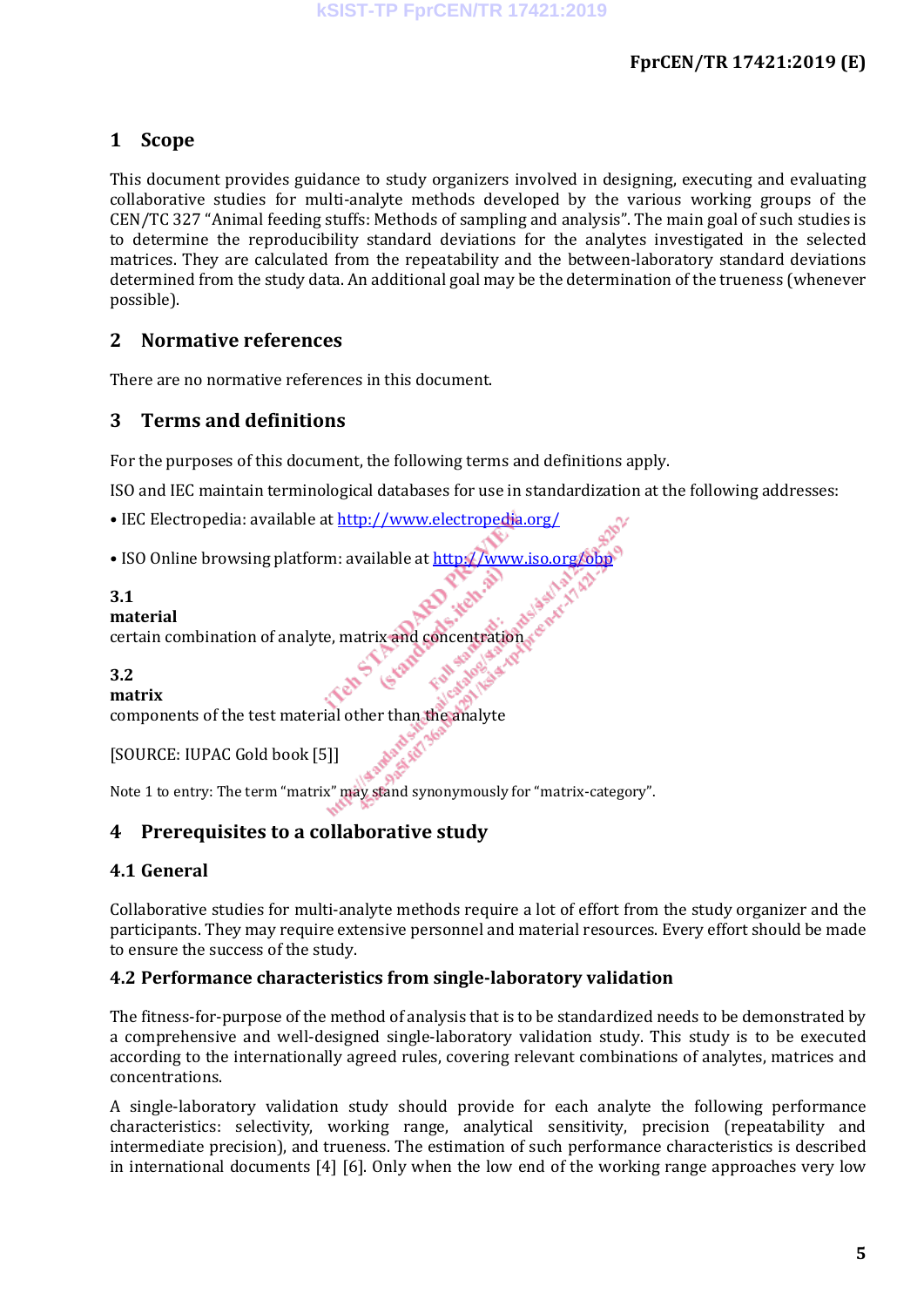#### **1 Scope**

This document provides guidance to study organizers involved in designing, executing and evaluating collaborative studies for multi-analyte methods developed by the various working groups of the CEN/TC 327 "Animal feeding stuffs: Methods of sampling and analysis". The main goal of such studies is to determine the reproducibility standard deviations for the analytes investigated in the selected matrices. They are calculated from the repeatability and the between-laboratory standard deviations determined from the study data. An additional goal may be the determination of the trueness (whenever possible).

#### **2 Normative references**

There are no normative references in this document.

#### **3 Terms and definitions**

For the purposes of this document, the following terms and definitions apply.

ISO and IEC maint[ain terminological databases for use in standardization at the](^YԮ��4`ޔ�"�{�0��M��:���2E�|�]��a2��d�������$���{p��G�-�].0���?���e�1?H�^��Qm����iF�*�5� JW���k!<�) following addresses:

• IEC Electropedia: available at http://www.electropedia.org/

• ISO Online browsing platform: available at http://www.iso.org

#### **3.1**

#### **material**

certain combination of analyte, matrix and concentration

#### **3.2**

**matrix**

components of the test material other than the analyte

[SOURCE: IUPAC Gold book [5]]

Note 1 to entry: The term "matrix" may stand synonymously for "matrix-category".

#### **4 Prerequisites to a collaborative study**

#### **4.1 General**

Collaborative studies for multi-analyte methods require a lot of effort from the study organizer and the participants. They may require extensive personnel and material resources. Every effort should be made to ensure the success of the study.

#### **4.2 Performance characteristics from single-laboratory validation**

The fitness-for-purpose of the method of analysis that is to be standardized needs to be demonstrated by a comprehensive and well-designed single-laboratory validation study. This study is to be executed according to the internationally agreed rules, covering relevant combinations of analytes, matrices and concentrations.

A single-laboratory validation study should provide for each analyte the following performance characteristics: selectivity, working range, analytical sensitivity, precision (repeatability and intermediate precision), and trueness. The estimation of such performance characteristics is described in international documents [4] [6]. Only when the low end of the working range approaches very low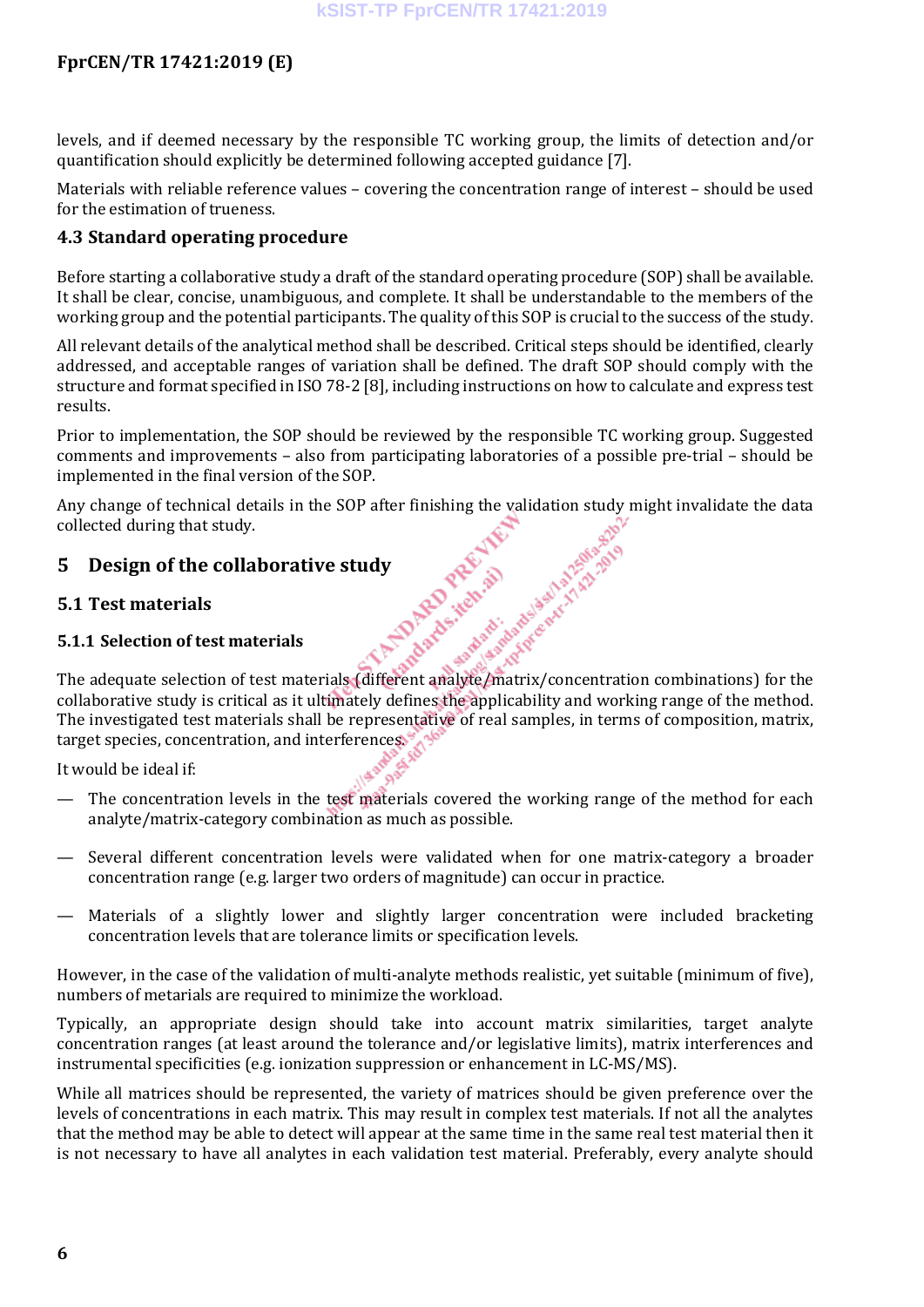levels, and if deemed necessary by the responsible TC working group, the limits of detection and/or quantification should explicitly be determined following accepted guidance [7].

Materials with reliable reference values – covering the concentration range of interest – should be used for the estimation of trueness.

#### **4.3 Standard operating procedure**

Before starting a collaborative study a draft of the standard operating procedure (SOP) shall be available. It shall be clear, concise, unambiguous, and complete. It shall be understandable to the members of the working group and the potential participants. The quality of this SOP is crucial to the success of the study.

All relevant details of the analytical method shall be described. Critical steps should be identified, clearly addressed, and acceptable ranges of variation shall be defined. The draft SOP should comply with the structure and format specified in ISO 78-2 [8], including instructions on how to calculate and express test results.

Prior to implementation, the SOP should be reviewed by the responsible TC working group. Suggested comments and improvements – also from participating laboratories of a possible pre-trial – should be implemented in the final version of the SOP.

Any change of technical [details in the SOP after finishing the validation study might in](p��)validate the data collected during that study.

Antelastic Tap

#### **5.1 Test materials**

#### **5.1.1 Selection of test materials**

**5 Design of the collaborative study**<br>**5.1 Test materials**<br>**5.1.1 Selection of test materials**<br>The adec  $T$  The adequate selection of test materials (different analyte/matrix/concentration combinations) for the collaborative study is critical as it ultimately defines the applicability and working range of the method. The investigated test materials shall be representative of real samples, in terms of composition, matrix, target species, concentration, and interferences.<br>It would be ideal if:

It would be ideal if:

- The concentration levels in the test materials covered the working range of the method for each analyte/matrix-category combination as much as possible.
- Several different concentration levels were validated when for one matrix-category a broader concentration range (e.g. larger two orders of magnitude) can occur in practice.
- Materials of a slightly lower and slightly larger concentration were included bracketing concentration levels that are tolerance limits or specification levels.

However, in the case of the validation of multi-analyte methods realistic, yet suitable (minimum of five), numbers of metarials are required to minimize the workload.

Typically, an appropriate design should take into account matrix similarities, target analyte concentration ranges (at least around the tolerance and/or legislative limits), matrix interferences and instrumental specificities (e.g. ionization suppression or enhancement in LC-MS/MS).

While all matrices should be represented, the variety of matrices should be given preference over the levels of concentrations in each matrix. This may result in complex test materials. If not all the analytes that the method may be able to detect will appear at the same time in the same real test material then it is not necessary to have all analytes in each validation test material. Preferably, every analyte should